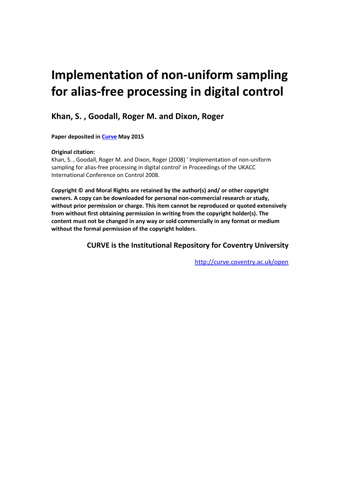# **Implementation of non-uniform sampling for alias-free processing in digital control**

# **Khan, S. , Goodall, Roger M. and Dixon, Roger**

**Paper deposited in [Curve](http://curve.coventry.ac.uk/open) May 2015**

# **Original citation:**

Khan, S. , Goodall, Roger M. and Dixon, Roger (2008) ' Implementation of non-uniform sampling for alias-free processing in digital control' in Proceedings of the UKACC International Conference on Control 2008.

**Copyright © and Moral Rights are retained by the author(s) and/ or other copyright owners. A copy can be downloaded for personal non-commercial research or study, without prior permission or charge. This item cannot be reproduced or quoted extensively from without first obtaining permission in writing from the copyright holder(s). The content must not be changed in any way or sold commercially in any format or medium without the formal permission of the copyright holders**.

# **CURVE is the Institutional Repository for Coventry University**

<http://curve.coventry.ac.uk/open>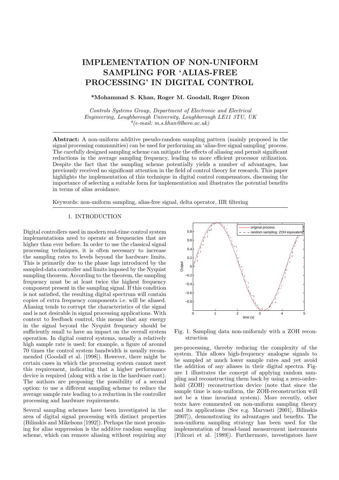# IMPLEMENTATION OF NON-UNIFORM SAMPLING FOR 'ALIAS-FREE PROCESSING' IN DIGITAL CONTROL

# \*Mohammad S. Khan, Roger M. Goodall, Roger Dixon

Controls Systems Group, Department of Electronic and Electrical Engineering, Loughborough University, Loughborough LE11 3TU, UK  $*(e-mail: m.s.khan@lboro.ac.uk)$ 

Abstract: A non-uniform additive pseudo-random sampling pattern (mainly proposed in the signal processing communities) can be used for performing an 'alias-free signal sampling' process. The carefully designed sampling scheme can mitigate the effects of aliasing and permit significant reductions in the average sampling frequency, leading to more efficient processor utilization. Despite the fact that the sampling scheme potentially yields a number of advantages, has previously received no significant attention in the field of control theory for research. This paper highlights the implementation of this technique in digital control compensators, discussing the importance of selecting a suitable form for implementation and illustrates the potential benefits in terms of alias avoidance.

Keywords: non-uniform sampling, alias-free signal, delta operator, IIR filtering

# 1. INTRODUCTION

Digital controllers used in modern real-time control system implementations need to operate at frequencies that are higher than ever before. In order to use the classical signal processing techniques, it is often necessary to increase the sampling rates to levels beyond the hardware limits. This is primarily due to the phase lags introduced by the sampled-data controller and limits imposed by the Nyquist sampling theorem. According to the theorem, the sampling frequency must be at least twice the highest frequency component present in the sampling signal. If this condition is not satisfied, the resulting digital spectrum will contain copies of extra frequency components i.e. will be aliased. Aliasing tends to corrupt the characteristics of the signal and is not desirable in signal processing applications. With context to feedback control, this means that any energy in the signal beyond the Nyquist frequency should be sufficiently small to have an impact on the overall system operation. In digital control systems, usually a relatively high sample rate is used; for example, a figure of around 70 times the control system bandwidth is usually recommended (Goodall et al. [1998]). However, there might be certain cases in which the processing system cannot meet this requirement, indicating that a higher performance device is required (along with a rise in the hardware cost). The authors are proposing the possibility of a second option: to use a different sampling scheme to reduce the average sample rate leading to a reduction in the controller processing and hardware requirements.

Several sampling schemes have been investigated in the area of digital signal processing with distinct properties (Bilinskis and Mikelsons [1992]). Perhaps the most promising for alias suppression is the additive random sampling scheme, which can remove aliasing without requiring any



Fig. 1. Sampling data non-uniformly with a ZOH reconstruction

pre-processing, thereby reducing the complexity of the system. This allows high-frequency analogue signals to be sampled at much lower sample rates and yet avoid the addition of any aliases in their digital spectra. Figure 1 illustrates the concept of applying random sampling and reconstructing them back by using a zero-orderhold (ZOH) reconstruction device (note that since the sample time is non-uniform, the ZOH-reconstruction will not be a time invariant system). More recently, other texts have commented on non-uniform sampling theory and its applications (See e.g. Marvasti [2001], Bilinskis [2007]), demonstrating its advantages and benefits. The non-uniform sampling strategy has been used for the implementation of broad-band measurement instruments (Filicori et al. [1989]). Furthermore, investigators have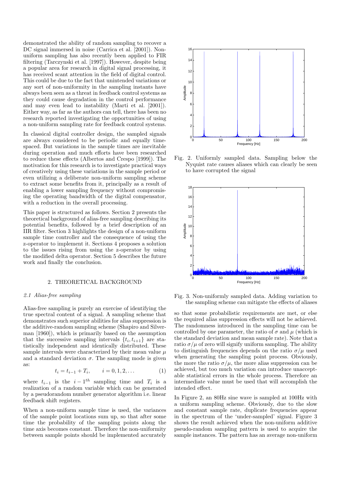demonstrated the ability of random sampling to recover a DC signal immersed in noise (Carrica et al. [2001]). Nonuniform sampling has also recently been applied to FIR filtering (Tarczynski et al. [1997]). However, despite being a popular area for research in digital signal processing, it has received scant attention in the field of digital control. This could be due to the fact that unintended variations or any sort of non-uniformity in the sampling instants have always been seen as a threat in feedback control systems as they could cause degradation in the control performance and may even lead to instability (Marti et al. [2001]). Either way, as far as the authors can tell, there has been no research reported investigating the opportunities of using a non-uniform sampling rate for feedback control systems.

In classical digital controller design, the sampled signals are always considered to be periodic and equally timespaced. But variations in the sample times are inevitable during operation and much efforts have been researched to reduce these effects (Albertos and Crespo [1999]). The motivation for this research is to investigate practical ways of creatively using these variations in the sample period or even utilizing a deliberate non-uniform sampling scheme to extract some benefits from it, principally as a result of enabling a lower sampling frequency without compromising the operating bandwidth of the digital compensator, with a reduction in the overall processing.

This paper is structured as follows. Section 2 presents the theoretical background of alias-free sampling describing its potential benefits, followed by a brief description of an IIR filter. Section 3 highlights the design of a non-uniform sample time controller and the consequence of using the z-operator to implement it. Sections 4 proposes a solution to the issues rising from using the z-operator by using the modified delta operator. Section 5 describes the future work and finally the conclusion.

#### 2. THEORETICAL BACKGROUND

#### 2.1 Alias-free sampling

Alias-free sampling is purely an exercise of identifying the true spectral content of a signal. A sampling scheme that demonstrates such superior abilities for alias suppression is the additive-random sampling scheme (Shapiro and Silverman [1960]), which is primarily based on the assumption that the successive sampling intervals  $\{t_i, t_{i+1}\}\$ are statistically independent and identically distributed. These sample intervals were characterized by their mean value  $\mu$ and a standard deviation  $\sigma$ . The sampling mode is given as:

$$
t_i = t_{i-1} + T_i, \qquad i = 0, 1, 2, \dots \tag{1}
$$

where  $t_{i-1}$  is the  $i-1$ <sup>th</sup> sampling time and  $T_i$  is a realization of a random variable which can be generated by a pseudorandom number generator algorithm i.e. linear feedback shift registers.

When a non-uniform sample time is used, the variances of the sample point locations sum up, so that after some time the probability of the sampling points along the time axis becomes constant. Therefore the non-uniformity between sample points should be implemented accurately



Fig. 2. Uniformly sampled data. Sampling below the Nyquist rate causes aliases which can clearly be seen to have corrupted the signal



Fig. 3. Non-uniformly sampled data. Adding variation to the sampling scheme can mitigate the effects of aliases

so that some probabilistic requirements are met, or else the required alias suppression effects will not be achieved. The randomness introduced in the sampling time can be controlled by one parameter, the ratio of  $\sigma$  and  $\mu$  (which is the standard deviation and mean sample rate). Note that a ratio  $\sigma/\mu$  of zero will signify uniform sampling. The ability to distinguish frequencies depends on the ratio  $\sigma/\mu$  used when generating the sampling point process. Obviously, the more the ratio  $\sigma/\mu$ , the more alias suppression can be achieved, but too much variation can introduce unacceptable statistical errors in the whole process. Therefore an intermediate value must be used that will accomplish the intended effect.

In Figure 2, an 80Hz sine wave is sampled at 100Hz with a uniform sampling scheme. Obviously, due to the slow and constant sample rate, duplicate frequencies appear in the spectrum of the 'under-sampled' signal. Figure 3 shows the result achieved when the non-uniform additive pseudo-random sampling pattern is used to acquire the sample instances. The pattern has an average non-uniform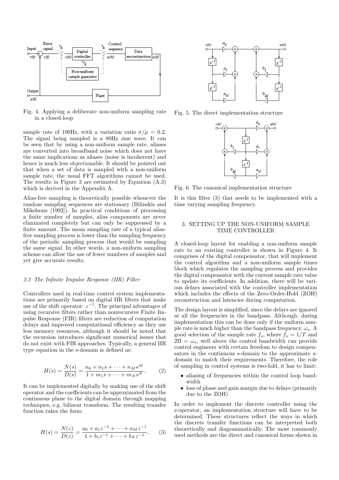

Fig. 4. Applying a deliberate non-uniform sampling rate in a closed-loop

sample rate of 100Hz, with a variation ratio  $\sigma/\mu = 0.2$ . The signal being sampled is a 80Hz sine wave. It can be seen that by using a non-uniform sample rate, aliases are converted into broadband noise which does not have the same implications as aliases (noise is incoherent) and hence is much less objectionable. It should be pointed out that when a set of data is sampled with a non-uniform sample rate, the usual FFT algorithms cannot be used. The results in Figure 3 are estimated by Equation (A.3) which is derived in the Appendix A.

Alias-free sampling is theoretically possible whenever the random sampling sequences are stationary (Bilinskis and Mikelsons [1992]). In practical conditions of processing a finite number of samples, alias components are never eliminated completely but can only be suppressed by a finite amount. The mean sampling rate of a typical aliasfree sampling process is lower than the sampling frequency of the periodic sampling process that would be sampling the same signal. In other words, a non-uniform sampling scheme can allow the use of fewer numbers of samples and yet give accurate results.

## 2.2 The Infinite Impulse Response (IIR) Filter

Controllers used in real-time control system implementations are primarily based on digital IIR filters that make use of the shift operator  $z^{-1}$ . The principal advantages of using recursive filters rather than nonrecursive Finite Impulse Response (FIR) filters are reduction of computation delays and improved computational efficiency as they use less memory resources, although it should be noted that the recursion introduces significant numerical issues that do not exist with FIR approaches. Typically, a general IIR type equation in the s-domain is defined as:

$$
H(s) = \frac{N(s)}{D(s)} = \frac{n_0 + n_1 s + \dots + n_M s^M}{1 + m_1 s + \dots + m_N s^N},
$$
 (2)

It can be implemented digitally by making use of the shift operator and the coefficients can be approximated from the continuous plane to the digital domain through mapping techniques, e.g. bilinear transform. The resulting transfer function takes the form:

$$
H(s) = \frac{N(z)}{D(z)} = \frac{a_0 + a_1 z^{-1} + \dots + a_M z^{-1}}{1 + b_1 z^{-1} + \dots + b_N z^{-1}},
$$
 (3)



Fig. 5. The direct implementation structure



Fig. 6. The canonical implementation structure

It is this filter (3) that needs to be implemented with a time varying sampling frequency.

# 3. SETTING UP THE NON-UNIFORM SAMPLE TIME CONTROLLER

A closed-loop layout for enabling a non-uniform sample rate to an existing controller is shown in Figure 4. It comprises of the digital compensator, that will implement the control algorithm and a non-uniform sample times block which regulates the sampling process and provides the digital compensator with the current sample rate value to update its coefficients. In addition, there will be various delays associated with the controller implementation which includes the effects of the Zero-Order-Hold (ZOH) reconstruction and latencies during computation.

The design layout is simplified, since the delays are ignored at all the frequencies in the bandpass. Although, during implementation this can be done only if the uniform sample rate is much higher than the bandpass frequency,  $\omega_s$ . A good selection of the sample rate  $f_s$ , where  $f_s = 1/T$  and  $2\Pi = \omega_s$ , well above the control bandwidth can provide control engineers with certain freedom to design compensators in the continuous s-domain to the approximate zdomain to match their requirements. Therefore, the role of sampling in control systems is two-fold, it has to limit:

- aliasing of frequencies within the control loop bandwidth
- loss of phase and gain margin due to delays (primarily due to the ZOH)

In order to implement the discrete controller using the z-operator, an implementation structure will have to be determined. These structures reflect the ways in which the discrete transfer functions can be interpreted both theoretically and diagrammatically. The most commonly used methods are the direct and canonical forms shown in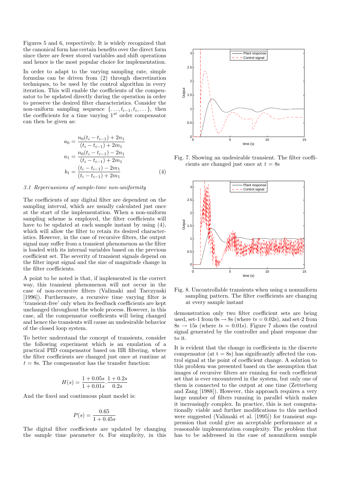Figures 5 and 6, respectively. It is widely recognized that the canonical form has certain benefits over the direct form since there are fewer stored variables and shift operations and hence is the most popular choice for implementation.

In order to adapt to the varying sampling rate, simple formulas can be driven from (2) through discretization techniques, to be used by the control algorithm in every iteration. This will enable the coefficients of the compensator to be updated directly during the operation in order to preserve the desired filter characteristics. Consider the non-uniform sampling sequence  $\{\ldots,t_{i-1},t_i,\ldots\}$ , then the coefficients for a time varying  $1^{st}$  order compensator can then be given as:

$$
a_0 = \frac{n_0(t_i - t_{i-1}) + 2n_1}{(t_i - t_{i-1}) + 2m_1}
$$
  
\n
$$
a_1 = \frac{n_0(t_i - t_{i-1}) - 2n_1}{(t_i - t_{i-1}) + 2m_1}
$$
  
\n
$$
b_1 = \frac{(t_i - t_{i-1}) - 2m_1}{(t_i - t_{i-1}) + 2m_1}
$$
 (4)

# 3.1 Repercussions of sample-time non-uniformity

The coefficients of any digital filter are dependent on the sampling interval, which are usually calculated just once at the start of the implementation. When a non-uniform sampling scheme is employed, the filter coefficients will have to be updated at each sample instant by using (4), which will allow the filter to retain its desired characteristics. However, in the case of recursive filters, the output signal may suffer from a transient phenomenon as the filter is loaded with its internal variables based on the previous coefficient set. The severity of transient signals depend on the filter input signal and the size of magnitude change in the filter coefficients.

A point to be noted is that, if implemented in the correct way, this transient phenomenon will not occur in the case of non-recursive filters (Valimaki and Tarczynski [1996]). Furthermore, a recursive time varying filter is 'transient-free' only when its feedback coefficients are kept unchanged throughout the whole process. However, in this case, all the compensator coefficients will being changed and hence the transients will cause an undesirable behavior of the closed loop system.

To better understand the concept of transients, consider the following experiment which is an emulation of a practical PID compensator based on IIR filtering, where the filter coefficients are changed just once at runtime at  $t = 8$ s. The compensator has the transfer function:

$$
H(s) = \frac{1 + 0.05s}{1 + 0.01s} \cdot \frac{1 + 0.2s}{0.2s}
$$

And the fixed and continuous plant model is:

$$
P(s) = \frac{0.65}{1 + 0.45s}
$$

The digital filter coefficients are updated by changing the sample time parameter ts. For simplicity, in this



Fig. 7. Showing an undesirable transient. The filter coefficients are changed just once at  $t = 8s$ 



Fig. 8. Uncontrollable transients when using a nonuniform sampling pattern. The filter coefficients are changing at every sample instant

demonstration only two filter coefficient sets are being used, set-1 from  $0s \rightarrow 8s$  (where  $ts = 0.02s$ ), and set-2 from  $8s \rightarrow 15s$  (where  $ts = 0.01s$ ). Figure 7 shows the control signal generated by the controller and plant response due to it.

It is evident that the change in coefficients in the discrete compensator (at  $t = 8s$ ) has significantly affected the control signal at the point of coefficient change. A solution to this problem was presented based on the assumption that images of recursive filters are running for each coefficient set that is ever encountered in the system, but only one of them is connected to the output at one time (Zetterberg and Zang [1988]). However, this approach requires a very large number of filters running in parallel which makes it increasingly complex. In practice, this is not computationally viable and further modifications to this method were suggested (Valimaki et al. [1995]) for transient suppression that could give an acceptable performance at a reasonable implementation complexity. The problem that has to be addressed in the case of nonuniform sample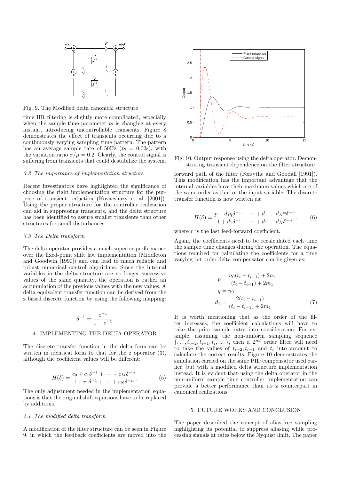

Fig. 9. The Modified delta canonical structure

time IIR filtering is slightly more complicated, especially when the sample time parameter  $ts$  is changing at every instant, introducing uncontrollable transients. Figure 8 demonstrates the effect of transients occurring due to a continuously varying sampling time pattern. The pattern has an average sample rate of  $50\text{Hz}$  (ts = 0.02s), with the variation ratio  $\sigma/\mu = 0.2$ . Clearly, the control signal is suffering from transients that could destabilize the system.

#### 3.2 The importance of implementation structure

Recent investigators have highlighted the significance of choosing the right implementation structure for the purpose of transient reduction (Kovacshazy et al. [2001]). Using the proper structure for the controller realization can aid in suppressing transients, and the delta structure has been identified to assure smaller transients than other structures for small disturbances.

#### 3.3 The Delta transform

The delta operator provides a much superior performance over the fixed-point shift law implementation (Middleton and Goodwin [1990]) and can lead to much reliable and robust numerical control algorithms. Since the internal variables in the delta structure are no longer successive values of the same quantity, the operation is rather an accumulation of the previous values with the new values. A delta equivalent transfer function can be derived from the z based discrete function by using the following mapping:

$$
\delta^{-1}=\frac{z^{-1}}{1-z^{-1}}
$$

# 4. IMPLEMENTING THE DELTA OPERATOR

The discrete transfer function in the delta form can be written in identical form to that for the z operator  $(3)$ , although the coefficient values will be different:

$$
H(\delta) = \frac{c_0 + c_1 \delta^{-1} + \dots + c_M \delta^{-n}}{1 + r_1 \delta^{-1} + \dots + r_N \delta^{-n}},
$$
(5)

The only adjustment needed in the implementation equations is that the original shift equations have to be replaced by additions.

#### 4.1 The modified delta transform

A modification of the filter structure can be seen in Figure 9, in which the feedback coefficients are moved into the



Fig. 10. Output response using the delta operator. Demonstrating transient dependence on the filter structure

forward path of the filter (Forsythe and Goodall [1991]). This modification has the important advantage that the internal variables have their maximum values which are of the same order as that of the input variable. The discrete transfer function is now written as:

$$
H(\delta) = \frac{p + d_1 q \delta^{-1} + \dots + d_1 \dots d_N \overline{r} \delta^{-n}}{1 + d_1 \delta^{-1} + \dots + d_1 \dots d_N \delta^{-n}},
$$
 (6)

where  $\bar{r}$  is the last feed-forward coefficient.

Again, the coefficients need to be recalculated each time the sample time changes during the operation. The equations required for calculating the coefficients for a time varying 1st order delta compensator can be given as:

$$
p = \frac{n_0(t_i - t_{i-1}) + 2n_1}{(t_i - t_{i-1}) + 2m_1}
$$
  
\n
$$
q = n_0
$$
  
\n
$$
d_1 = \frac{2(t_i - t_{i-1})}{(t_i - t_{i-1}) + 2m_1}
$$
\n(7)

It is worth mentioning that as the order of the filter increases, the coefficient calculations will have to take the prior sample rates into consideration. For example, assuming the non-uniform sampling sequence  $\{\ldots,t_{i-2},t_{i-1},t_i,\ldots\}$ , then a  $2^{nd}$  order filter will need to take the values of  $t_{i-2}, t_{i-1}$  and  $t_i$  into account to calculate the correct results. Figure 10 demonstrates the simulation carried on the same PID compensator used earlier, but with a modified delta structure implementation instead. It is evident that using the delta operator in the non-uniform sample time controller implementation can provide a better performance than its z counterpart in canonical realizations.

## 5. FUTURE WORKS AND CONCLUSION

The paper described the concept of alias-free sampling highlighting its potential to suppress aliasing while processing signals at rates below the Nyquist limit. The paper